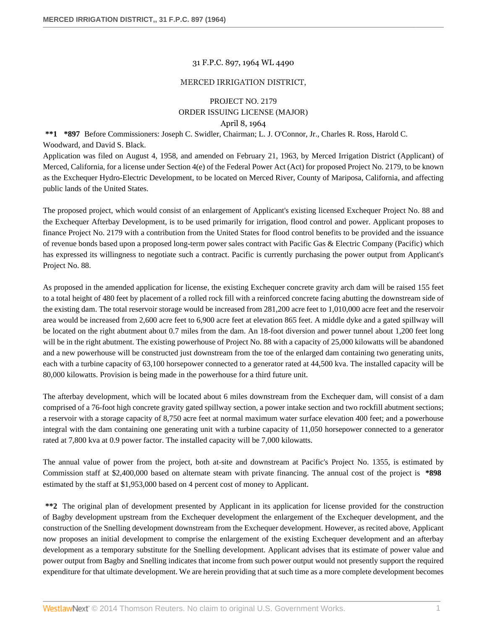### 31 F.P.C. 897, 1964 WL 4490

#### MERCED IRRIGATION DISTRICT,

# PROJECT NO. 2179 ORDER ISSUING LICENSE (MAJOR) April 8, 1964

**\*\*1 \*897** Before Commissioners: Joseph C. Swidler, Chairman; L. J. O'Connor, Jr., Charles R. Ross, Harold C. Woodward, and David S. Black.

Application was filed on August 4, 1958, and amended on February 21, 1963, by Merced Irrigation District (Applicant) of Merced, California, for a license under Section 4(e) of the Federal Power Act (Act) for proposed Project No. 2179, to be known as the Exchequer Hydro-Electric Development, to be located on Merced River, County of Mariposa, California, and affecting public lands of the United States.

The proposed project, which would consist of an enlargement of Applicant's existing licensed Exchequer Project No. 88 and the Exchequer Afterbay Development, is to be used primarily for irrigation, flood control and power. Applicant proposes to finance Project No. 2179 with a contribution from the United States for flood control benefits to be provided and the issuance of revenue bonds based upon a proposed long-term power sales contract with Pacific Gas & Electric Company (Pacific) which has expressed its willingness to negotiate such a contract. Pacific is currently purchasing the power output from Applicant's Project No. 88.

As proposed in the amended application for license, the existing Exchequer concrete gravity arch dam will be raised 155 feet to a total height of 480 feet by placement of a rolled rock fill with a reinforced concrete facing abutting the downstream side of the existing dam. The total reservoir storage would be increased from 281,200 acre feet to 1,010,000 acre feet and the reservoir area would be increased from 2,600 acre feet to 6,900 acre feet at elevation 865 feet. A middle dyke and a gated spillway will be located on the right abutment about 0.7 miles from the dam. An 18-foot diversion and power tunnel about 1,200 feet long will be in the right abutment. The existing powerhouse of Project No. 88 with a capacity of 25,000 kilowatts will be abandoned and a new powerhouse will be constructed just downstream from the toe of the enlarged dam containing two generating units, each with a turbine capacity of 63,100 horsepower connected to a generator rated at 44,500 kva. The installed capacity will be 80,000 kilowatts. Provision is being made in the powerhouse for a third future unit.

The afterbay development, which will be located about 6 miles downstream from the Exchequer dam, will consist of a dam comprised of a 76-foot high concrete gravity gated spillway section, a power intake section and two rockfill abutment sections; a reservoir with a storage capacity of 8,750 acre feet at normal maximum water surface elevation 400 feet; and a powerhouse integral with the dam containing one generating unit with a turbine capacity of 11,050 horsepower connected to a generator rated at 7,800 kva at 0.9 power factor. The installed capacity will be 7,000 kilowatts.

The annual value of power from the project, both at-site and downstream at Pacific's Project No. 1355, is estimated by Commission staff at \$2,400,000 based on alternate steam with private financing. The annual cost of the project is **\*898** estimated by the staff at \$1,953,000 based on 4 percent cost of money to Applicant.

**\*\*2** The original plan of development presented by Applicant in its application for license provided for the construction of Bagby development upstream from the Exchequer development the enlargement of the Exchequer development, and the construction of the Snelling development downstream from the Exchequer development. However, as recited above, Applicant now proposes an initial development to comprise the enlargement of the existing Exchequer development and an afterbay development as a temporary substitute for the Snelling development. Applicant advises that its estimate of power value and power output from Bagby and Snelling indicates that income from such power output would not presently support the required expenditure for that ultimate development. We are herein providing that at such time as a more complete development becomes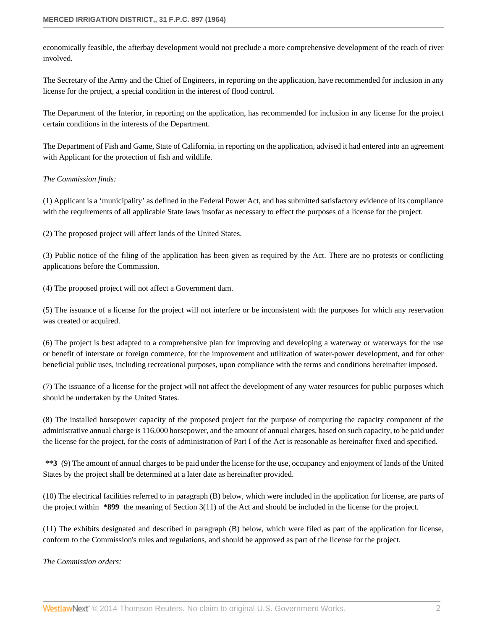economically feasible, the afterbay development would not preclude a more comprehensive development of the reach of river involved.

The Secretary of the Army and the Chief of Engineers, in reporting on the application, have recommended for inclusion in any license for the project, a special condition in the interest of flood control.

The Department of the Interior, in reporting on the application, has recommended for inclusion in any license for the project certain conditions in the interests of the Department.

The Department of Fish and Game, State of California, in reporting on the application, advised it had entered into an agreement with Applicant for the protection of fish and wildlife.

## *The Commission finds:*

(1) Applicant is a 'municipality' as defined in the Federal Power Act, and has submitted satisfactory evidence of its compliance with the requirements of all applicable State laws insofar as necessary to effect the purposes of a license for the project.

(2) The proposed project will affect lands of the United States.

(3) Public notice of the filing of the application has been given as required by the Act. There are no protests or conflicting applications before the Commission.

(4) The proposed project will not affect a Government dam.

(5) The issuance of a license for the project will not interfere or be inconsistent with the purposes for which any reservation was created or acquired.

(6) The project is best adapted to a comprehensive plan for improving and developing a waterway or waterways for the use or benefit of interstate or foreign commerce, for the improvement and utilization of water-power development, and for other beneficial public uses, including recreational purposes, upon compliance with the terms and conditions hereinafter imposed.

(7) The issuance of a license for the project will not affect the development of any water resources for public purposes which should be undertaken by the United States.

(8) The installed horsepower capacity of the proposed project for the purpose of computing the capacity component of the administrative annual charge is 116,000 horsepower, and the amount of annual charges, based on such capacity, to be paid under the license for the project, for the costs of administration of Part I of the Act is reasonable as hereinafter fixed and specified.

**\*\*3** (9) The amount of annual charges to be paid under the license for the use, occupancy and enjoyment of lands of the United States by the project shall be determined at a later date as hereinafter provided.

(10) The electrical facilities referred to in paragraph (B) below, which were included in the application for license, are parts of the project within **\*899** the meaning of Section 3(11) of the Act and should be included in the license for the project.

(11) The exhibits designated and described in paragraph (B) below, which were filed as part of the application for license, conform to the Commission's rules and regulations, and should be approved as part of the license for the project.

*The Commission orders:*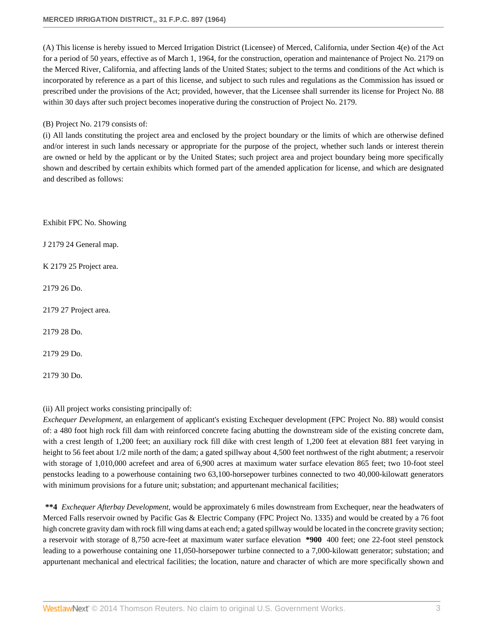(A) This license is hereby issued to Merced Irrigation District (Licensee) of Merced, California, under Section 4(e) of the Act for a period of 50 years, effective as of March 1, 1964, for the construction, operation and maintenance of Project No. 2179 on the Merced River, California, and affecting lands of the United States; subject to the terms and conditions of the Act which is incorporated by reference as a part of this license, and subject to such rules and regulations as the Commission has issued or prescribed under the provisions of the Act; provided, however, that the Licensee shall surrender its license for Project No. 88 within 30 days after such project becomes inoperative during the construction of Project No. 2179.

## (B) Project No. 2179 consists of:

(i) All lands constituting the project area and enclosed by the project boundary or the limits of which are otherwise defined and/or interest in such lands necessary or appropriate for the purpose of the project, whether such lands or interest therein are owned or held by the applicant or by the United States; such project area and project boundary being more specifically shown and described by certain exhibits which formed part of the amended application for license, and which are designated and described as follows:

Exhibit FPC No. Showing

J 2179 24 General map.

K 2179 25 Project area.

2179 26 Do.

2179 27 Project area.

2179 28 Do.

2179 29 Do.

2179 30 Do.

# (ii) All project works consisting principally of:

*Exchequer Development*, an enlargement of applicant's existing Exchequer development (FPC Project No. 88) would consist of: a 480 foot high rock fill dam with reinforced concrete facing abutting the downstream side of the existing concrete dam, with a crest length of 1,200 feet; an auxiliary rock fill dike with crest length of 1,200 feet at elevation 881 feet varying in height to 56 feet about 1/2 mile north of the dam; a gated spillway about 4,500 feet northwest of the right abutment; a reservoir with storage of 1,010,000 acrefeet and area of 6,900 acres at maximum water surface elevation 865 feet; two 10-foot steel penstocks leading to a powerhouse containing two 63,100-horsepower turbines connected to two 40,000-kilowatt generators with minimum provisions for a future unit; substation; and appurtenant mechanical facilities;

**\*\*4** *Exchequer Afterbay Development*, would be approximately 6 miles downstream from Exchequer, near the headwaters of Merced Falls reservoir owned by Pacific Gas & Electric Company (FPC Project No. 1335) and would be created by a 76 foot high concrete gravity dam with rock fill wing dams at each end; a gated spillway would be located in the concrete gravity section; a reservoir with storage of 8,750 acre-feet at maximum water surface elevation **\*900** 400 feet; one 22-foot steel penstock leading to a powerhouse containing one 11,050-horsepower turbine connected to a 7,000-kilowatt generator; substation; and appurtenant mechanical and electrical facilities; the location, nature and character of which are more specifically shown and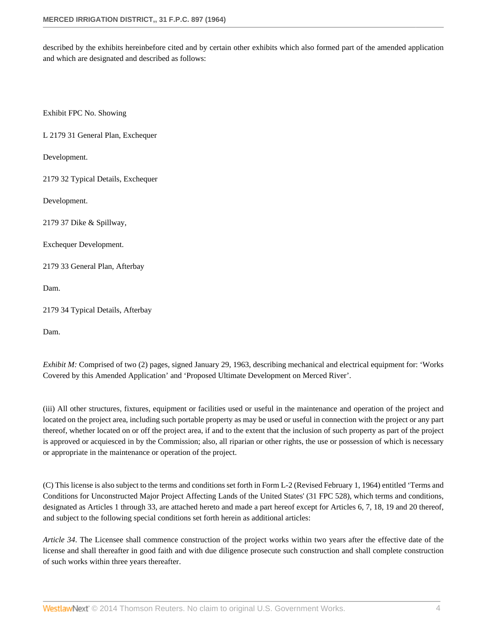described by the exhibits hereinbefore cited and by certain other exhibits which also formed part of the amended application and which are designated and described as follows:

Exhibit FPC No. Showing

L 2179 31 General Plan, Exchequer

Development.

2179 32 Typical Details, Exchequer

Development.

2179 37 Dike & Spillway,

Exchequer Development.

2179 33 General Plan, Afterbay

Dam.

2179 34 Typical Details, Afterbay

Dam.

*Exhibit M:* Comprised of two (2) pages, signed January 29, 1963, describing mechanical and electrical equipment for: 'Works Covered by this Amended Application' and 'Proposed Ultimate Development on Merced River'.

(iii) All other structures, fixtures, equipment or facilities used or useful in the maintenance and operation of the project and located on the project area, including such portable property as may be used or useful in connection with the project or any part thereof, whether located on or off the project area, if and to the extent that the inclusion of such property as part of the project is approved or acquiesced in by the Commission; also, all riparian or other rights, the use or possession of which is necessary or appropriate in the maintenance or operation of the project.

(C) This license is also subject to the terms and conditions set forth in Form L-2 (Revised February 1, 1964) entitled 'Terms and Conditions for Unconstructed Major Project Affecting Lands of the United States' (31 FPC 528), which terms and conditions, designated as Articles 1 through 33, are attached hereto and made a part hereof except for Articles 6, 7, 18, 19 and 20 thereof, and subject to the following special conditions set forth herein as additional articles:

*Article 34*. The Licensee shall commence construction of the project works within two years after the effective date of the license and shall thereafter in good faith and with due diligence prosecute such construction and shall complete construction of such works within three years thereafter.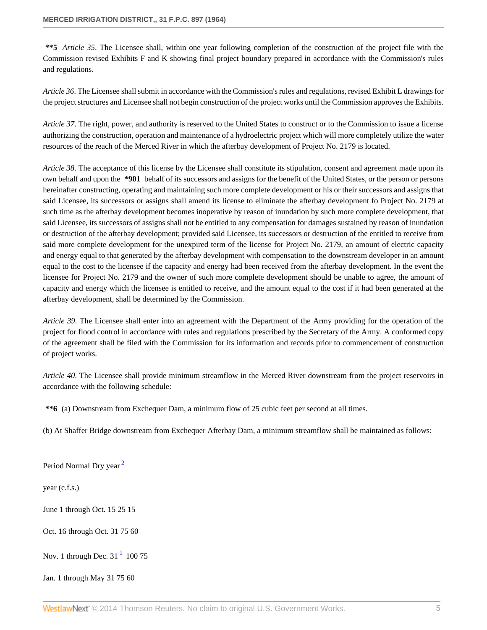**\*\*5** *Article 35*. The Licensee shall, within one year following completion of the construction of the project file with the Commission revised Exhibits F and K showing final project boundary prepared in accordance with the Commission's rules and regulations.

*Article 36*. The Licensee shall submit in accordance with the Commission's rules and regulations, revised Exhibit L drawings for the project structures and Licensee shall not begin construction of the project works until the Commission approves the Exhibits.

*Article 37*. The right, power, and authority is reserved to the United States to construct or to the Commission to issue a license authorizing the construction, operation and maintenance of a hydroelectric project which will more completely utilize the water resources of the reach of the Merced River in which the afterbay development of Project No. 2179 is located.

*Article 38*. The acceptance of this license by the Licensee shall constitute its stipulation, consent and agreement made upon its own behalf and upon the **\*901** behalf of its successors and assigns for the benefit of the United States, or the person or persons hereinafter constructing, operating and maintaining such more complete development or his or their successors and assigns that said Licensee, its successors or assigns shall amend its license to eliminate the afterbay development fo Project No. 2179 at such time as the afterbay development becomes inoperative by reason of inundation by such more complete development, that said Licensee, its successors of assigns shall not be entitled to any compensation for damages sustained by reason of inundation or destruction of the afterbay development; provided said Licensee, its successors or destruction of the entitled to receive from said more complete development for the unexpired term of the license for Project No. 2179, an amount of electric capacity and energy equal to that generated by the afterbay development with compensation to the downstream developer in an amount equal to the cost to the licensee if the capacity and energy had been received from the afterbay development. In the event the licensee for Project No. 2179 and the owner of such more complete development should be unable to agree, the amount of capacity and energy which the licensee is entitled to receive, and the amount equal to the cost if it had been generated at the afterbay development, shall be determined by the Commission.

*Article 39*. The Licensee shall enter into an agreement with the Department of the Army providing for the operation of the project for flood control in accordance with rules and regulations prescribed by the Secretary of the Army. A conformed copy of the agreement shall be filed with the Commission for its information and records prior to commencement of construction of project works.

*Article 40*. The Licensee shall provide minimum streamflow in the Merced River downstream from the project reservoirs in accordance with the following schedule:

**\*\*6** (a) Downstream from Exchequer Dam, a minimum flow of 25 cubic feet per second at all times.

(b) At Shaffer Bridge downstream from Exchequer Afterbay Dam, a minimum streamflow shall be maintained as follows:

<span id="page-4-1"></span>Period Normal Dry year<sup>[2](#page-6-0)</sup>

year (c.f.s.)

June 1 through Oct. 15 25 15

Oct. 16 through Oct. 31 75 60

<span id="page-4-0"></span>Nov. [1](#page-6-1) through Dec.  $31<sup>1</sup>$  100 75

Jan. 1 through May 31 75 60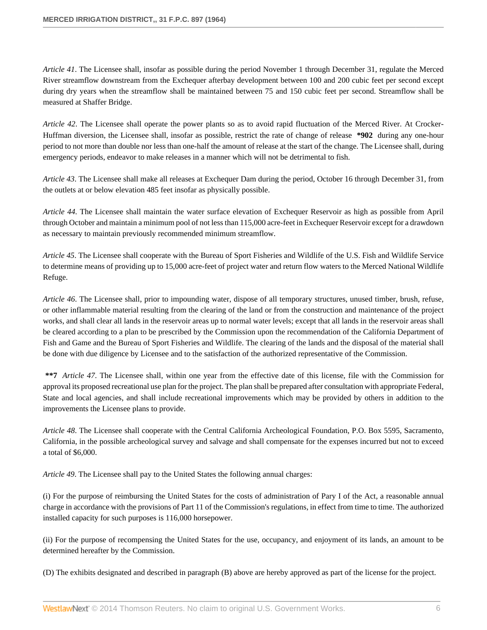*Article 41*. The Licensee shall, insofar as possible during the period November 1 through December 31, regulate the Merced River streamflow downstream from the Exchequer afterbay development between 100 and 200 cubic feet per second except during dry years when the streamflow shall be maintained between 75 and 150 cubic feet per second. Streamflow shall be measured at Shaffer Bridge.

*Article 42*. The Licensee shall operate the power plants so as to avoid rapid fluctuation of the Merced River. At Crocker-Huffman diversion, the Licensee shall, insofar as possible, restrict the rate of change of release **\*902** during any one-hour period to not more than double nor less than one-half the amount of release at the start of the change. The Licensee shall, during emergency periods, endeavor to make releases in a manner which will not be detrimental to fish.

*Article 43*. The Licensee shall make all releases at Exchequer Dam during the period, October 16 through December 31, from the outlets at or below elevation 485 feet insofar as physically possible.

*Article 44*. The Licensee shall maintain the water surface elevation of Exchequer Reservoir as high as possible from April through October and maintain a minimum pool of not less than 115,000 acre-feet in Exchequer Reservoir except for a drawdown as necessary to maintain previously recommended minimum streamflow.

*Article 45*. The Licensee shall cooperate with the Bureau of Sport Fisheries and Wildlife of the U.S. Fish and Wildlife Service to determine means of providing up to 15,000 acre-feet of project water and return flow waters to the Merced National Wildlife Refuge.

*Article 46*. The Licensee shall, prior to impounding water, dispose of all temporary structures, unused timber, brush, refuse, or other inflammable material resulting from the clearing of the land or from the construction and maintenance of the project works, and shall clear all lands in the reservoir areas up to normal water levels; except that all lands in the reservoir areas shall be cleared according to a plan to be prescribed by the Commission upon the recommendation of the California Department of Fish and Game and the Bureau of Sport Fisheries and Wildlife. The clearing of the lands and the disposal of the material shall be done with due diligence by Licensee and to the satisfaction of the authorized representative of the Commission.

**\*\*7** *Article 47*. The Licensee shall, within one year from the effective date of this license, file with the Commission for approval its proposed recreational use plan for the project. The plan shall be prepared after consultation with appropriate Federal, State and local agencies, and shall include recreational improvements which may be provided by others in addition to the improvements the Licensee plans to provide.

*Article 48*. The Licensee shall cooperate with the Central California Archeological Foundation, P.O. Box 5595, Sacramento, California, in the possible archeological survey and salvage and shall compensate for the expenses incurred but not to exceed a total of \$6,000.

*Article 49*. The Licensee shall pay to the United States the following annual charges:

(i) For the purpose of reimbursing the United States for the costs of administration of Pary I of the Act, a reasonable annual charge in accordance with the provisions of Part 11 of the Commission's regulations, in effect from time to time. The authorized installed capacity for such purposes is 116,000 horsepower.

(ii) For the purpose of recompensing the United States for the use, occupancy, and enjoyment of its lands, an amount to be determined hereafter by the Commission.

(D) The exhibits designated and described in paragraph (B) above are hereby approved as part of the license for the project.